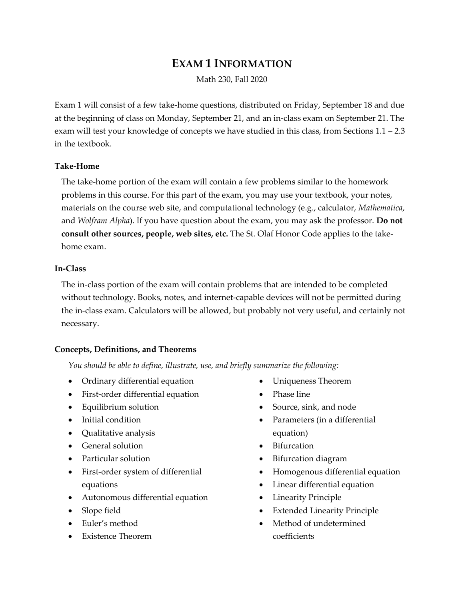# **EXAM 1 INFORMATION**

Math 230, Fall 2020

Exam 1 will consist of a few take-home questions, distributed on Friday, September 18 and due at the beginning of class on Monday, September 21, and an in-class exam on September 21. The exam will test your knowledge of concepts we have studied in this class, from Sections 1.1 – 2.3 in the textbook.

#### **Take-Home**

The take-home portion of the exam will contain a few problems similar to the homework problems in this course. For this part of the exam, you may use your textbook, your notes, materials on the course web site, and computational technology (e.g., calculator, *Mathematica*, and *Wolfram Alpha*). If you have question about the exam, you may ask the professor. **Do not consult other sources, people, web sites, etc.** The St. Olaf Honor Code applies to the takehome exam.

#### **In-Class**

The in-class portion of the exam will contain problems that are intended to be completed without technology. Books, notes, and internet-capable devices will not be permitted during the in-class exam. Calculators will be allowed, but probably not very useful, and certainly not necessary.

## **Concepts, Definitions, and Theorems**

*You should be able to define, illustrate, use, and briefly summarize the following:*

- Ordinary differential equation
- First-order differential equation
- Equilibrium solution
- Initial condition
- Qualitative analysis
- General solution
- Particular solution
- First-order system of differential equations
- Autonomous differential equation
- Slope field
- Euler's method
- Existence Theorem
- Uniqueness Theorem
- Phase line
- Source, sink, and node
- Parameters (in a differential equation)
- **Bifurcation**
- Bifurcation diagram
- Homogenous differential equation
- Linear differential equation
- Linearity Principle
- Extended Linearity Principle
- Method of undetermined coefficients